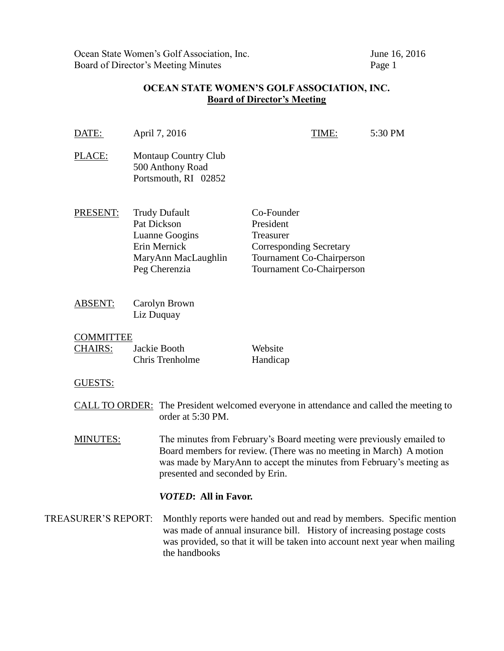Ocean State Women's Golf Association, Inc.<br>
Board of Director's Meeting Minutes<br>
Page 1 Board of Director's Meeting Minutes

## **OCEAN STATE WOMEN'S GOLF ASSOCIATION, INC. Board of Director's Meeting**

|                            | DATE:                              |                                 | April 7, 2016                                                                                                                                                                                                                                         |                                                                        | TIME:                                                  | 5:30 PM |  |
|----------------------------|------------------------------------|---------------------------------|-------------------------------------------------------------------------------------------------------------------------------------------------------------------------------------------------------------------------------------------------------|------------------------------------------------------------------------|--------------------------------------------------------|---------|--|
|                            | PLACE:                             |                                 | <b>Montaup Country Club</b><br>500 Anthony Road<br>Portsmouth, RI 02852                                                                                                                                                                               |                                                                        |                                                        |         |  |
|                            | PRESENT:                           |                                 | <b>Trudy Dufault</b><br>Pat Dickson<br>Luanne Googins<br>Erin Mernick<br>MaryAnn MacLaughlin<br>Peg Cherenzia                                                                                                                                         | Co-Founder<br>President<br>Treasurer<br><b>Corresponding Secretary</b> | Tournament Co-Chairperson<br>Tournament Co-Chairperson |         |  |
|                            | <b>ABSENT:</b>                     |                                 | Carolyn Brown<br>Liz Duquay                                                                                                                                                                                                                           |                                                                        |                                                        |         |  |
|                            | <b>COMMITTEE</b><br><b>CHAIRS:</b> | Jackie Booth<br>Chris Trenholme |                                                                                                                                                                                                                                                       | Website<br>Handicap                                                    |                                                        |         |  |
|                            | <b>GUESTS:</b>                     |                                 |                                                                                                                                                                                                                                                       |                                                                        |                                                        |         |  |
|                            |                                    |                                 | <b>CALL TO ORDER:</b> The President welcomed everyone in attendance and called the meeting to<br>order at 5:30 PM.                                                                                                                                    |                                                                        |                                                        |         |  |
| <b>MINUTES:</b>            |                                    |                                 | The minutes from February's Board meeting were previously emailed to<br>Board members for review. (There was no meeting in March) A motion<br>was made by MaryAnn to accept the minutes from February's meeting as<br>presented and seconded by Erin. |                                                                        |                                                        |         |  |
|                            |                                    |                                 | <i>VOTED</i> : All in Favor.                                                                                                                                                                                                                          |                                                                        |                                                        |         |  |
| <b>TREASURER'S REPORT:</b> |                                    |                                 | Monthly reports were handed out and read by members. Specific mention<br>was made of annual insurance bill. History of increasing postage costs<br>was provided, so that it will be taken into account next year when mailing<br>the handbooks        |                                                                        |                                                        |         |  |
|                            |                                    |                                 |                                                                                                                                                                                                                                                       |                                                                        |                                                        |         |  |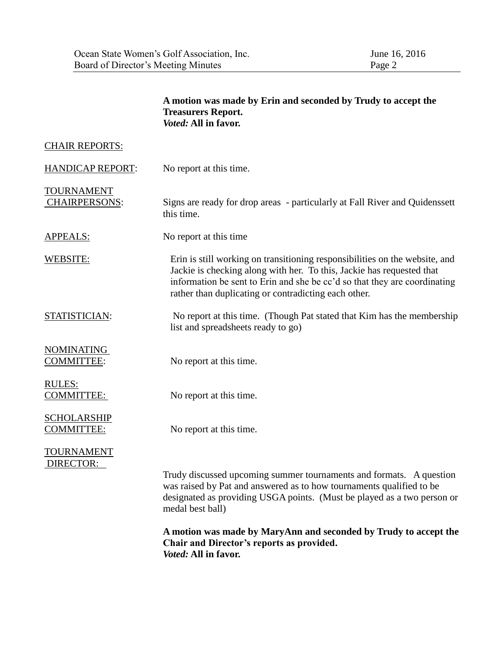|                                           | A motion was made by Erin and seconded by Trudy to accept the<br><b>Treasurers Report.</b><br>Voted: All in favor.                                                                                                                                                                                                                                          |  |  |  |
|-------------------------------------------|-------------------------------------------------------------------------------------------------------------------------------------------------------------------------------------------------------------------------------------------------------------------------------------------------------------------------------------------------------------|--|--|--|
| <b>CHAIR REPORTS:</b>                     |                                                                                                                                                                                                                                                                                                                                                             |  |  |  |
| <b>HANDICAP REPORT:</b>                   | No report at this time.                                                                                                                                                                                                                                                                                                                                     |  |  |  |
| <b>TOURNAMENT</b><br><b>CHAIRPERSONS:</b> | Signs are ready for drop areas - particularly at Fall River and Quidenssett<br>this time.                                                                                                                                                                                                                                                                   |  |  |  |
| APPEALS:                                  | No report at this time.                                                                                                                                                                                                                                                                                                                                     |  |  |  |
| WEBSITE:                                  | Erin is still working on transitioning responsibilities on the website, and<br>Jackie is checking along with her. To this, Jackie has requested that<br>information be sent to Erin and she be cc'd so that they are coordinating<br>rather than duplicating or contradicting each other.                                                                   |  |  |  |
| STATISTICIAN:                             | No report at this time. (Though Pat stated that Kim has the membership<br>list and spreadsheets ready to go)                                                                                                                                                                                                                                                |  |  |  |
| <b>NOMINATING</b><br><b>COMMITTEE:</b>    | No report at this time.                                                                                                                                                                                                                                                                                                                                     |  |  |  |
| RULES:<br><b>COMMITTEE:</b>               | No report at this time.                                                                                                                                                                                                                                                                                                                                     |  |  |  |
| <b>SCHOLARSHIP</b><br><b>COMMITTEE:</b>   | No report at this time.                                                                                                                                                                                                                                                                                                                                     |  |  |  |
| <b>TOURNAMENT</b><br>DIRECTOR:            | Trudy discussed upcoming summer tournaments and formats. A question<br>was raised by Pat and answered as to how tournaments qualified to be<br>designated as providing USGA points. (Must be played as a two person or<br>medal best ball)<br>A motion was made by MaryAnn and seconded by Trudy to accept the<br>Chair and Director's reports as provided. |  |  |  |
|                                           | Voted: All in favor.                                                                                                                                                                                                                                                                                                                                        |  |  |  |